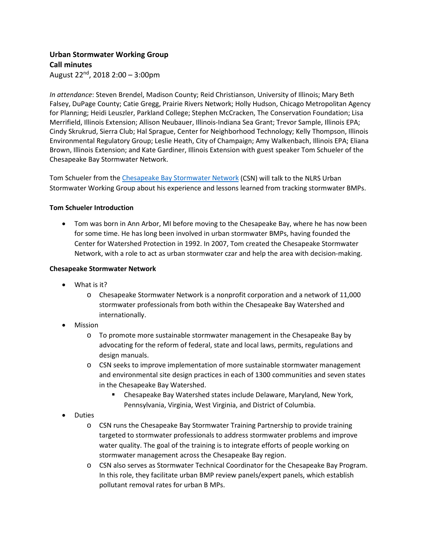## **Urban Stormwater Working Group Call minutes**

August 22nd, 2018 2:00 – 3:00pm

*In attendance*: Steven Brendel, Madison County; Reid Christianson, University of Illinois; Mary Beth Falsey, DuPage County; Catie Gregg, Prairie Rivers Network; Holly Hudson, Chicago Metropolitan Agency for Planning; Heidi Leuszler, Parkland College; Stephen McCracken, The Conservation Foundation; Lisa Merrifield, Illinois Extension; Allison Neubauer, Illinois-Indiana Sea Grant; Trevor Sample, Illinois EPA; Cindy Skrukrud, Sierra Club; Hal Sprague, Center for Neighborhood Technology; Kelly Thompson, Illinois Environmental Regulatory Group; Leslie Heath, City of Champaign; Amy Walkenbach, Illinois EPA; Eliana Brown, Illinois Extension; and Kate Gardiner, Illinois Extension with guest speaker Tom Schueler of the Chesapeake Bay Stormwater Network.

Tom Schueler from the [Chesapeake Bay Stormwater Network](https://chesapeakestormwater.net/) (CSN) will talk to the NLRS Urban Stormwater Working Group about his experience and lessons learned from tracking stormwater BMPs.

## **Tom Schueler Introduction**

• Tom was born in Ann Arbor, MI before moving to the Chesapeake Bay, where he has now been for some time. He has long been involved in urban stormwater BMPs, having founded the Center for Watershed Protection in 1992. In 2007, Tom created the Chesapeake Stormwater Network, with a role to act as urban stormwater czar and help the area with decision-making.

## **Chesapeake Stormwater Network**

- What is it?
	- o Chesapeake Stormwater Network is a nonprofit corporation and a network of 11,000 stormwater professionals from both within the Chesapeake Bay Watershed and internationally.
- Mission
	- o To promote more sustainable stormwater management in the Chesapeake Bay by advocating for the reform of federal, state and local laws, permits, regulations and design manuals.
	- o CSN seeks to improve implementation of more sustainable stormwater management and environmental site design practices in each of 1300 communities and seven states in the Chesapeake Bay Watershed.
		- Chesapeake Bay Watershed states include Delaware, Maryland, New York, Pennsylvania, Virginia, West Virginia, and District of Columbia.
- Duties
	- o CSN runs the Chesapeake Bay Stormwater Training Partnership to provide training targeted to stormwater professionals to address stormwater problems and improve water quality. The goal of the training is to integrate efforts of people working on stormwater management across the Chesapeake Bay region.
	- o CSN also serves as Stormwater Technical Coordinator for the Chesapeake Bay Program. In this role, they facilitate urban BMP review panels/expert panels, which establish pollutant removal rates for urban B MPs.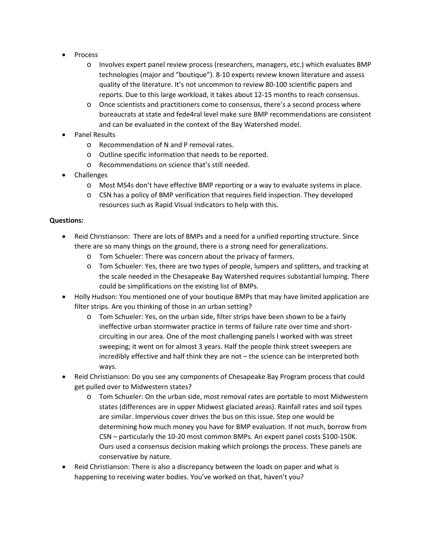- Process
	- o Involves expert panel review process (researchers, managers, etc.) which evaluates BMP technologies (major and "boutique"). 8-10 experts review known literature and assess quality of the literature. It's not uncommon to review 80-100 scientific papers and reports. Due to this large workload, it takes about 12-15 months to reach consensus.
	- o Once scientists and practitioners come to consensus, there's a second process where bureaucrats at state and fede4ral level make sure BMP recommendations are consistent and can be evaluated in the context of the Bay Watershed model.
- Panel Results
	- o Recommendation of N and P removal rates.
	- o Outline specific information that needs to be reported.
	- o Recommendations on science that's still needed.
- Challenges
	- o Most MS4s don't have effective BMP reporting or a way to evaluate systems in place.
	- o CSN has a policy of BMP verification that requires field inspection. They developed resources such as Rapid Visual Indicators to help with this.

## **Questions:**

- Reid Christianson: There are lots of BMPs and a need for a unified reporting structure. Since there are so many things on the ground, there is a strong need for generalizations.
	- o Tom Schueler: There was concern about the privacy of farmers.
	- o Tom Schueler: Yes, there are two types of people, lumpers and splitters, and tracking at the scale needed in the Chesapeake Bay Watershed requires substantial lumping. There could be simplifications on the existing list of BMPs.
- Holly Hudson: You mentioned one of your boutique BMPs that may have limited application are filter strips. Are you thinking of those in an urban setting?
	- o Tom Schueler: Yes, on the urban side, filter strips have been shown to be a fairly ineffective urban stormwater practice in terms of failure rate over time and shortcircuiting in our area. One of the most challenging panels I worked with was street sweeping; it went on for almost 3 years. Half the people think street sweepers are incredibly effective and half think they are not – the science can be interpreted both ways.
- Reid Christianson: Do you see any components of Chesapeake Bay Program process that could get pulled over to Midwestern states?
	- o Tom Schueler: On the urban side, most removal rates are portable to most Midwestern states (differences are in upper Midwest glaciated areas). Rainfall rates and soil types are similar. Impervious cover drives the bus on this issue. Step one would be determining how much money you have for BMP evaluation. If not much, borrow from CSN – particularly the 10-20 most common BMPs. An expert panel costs \$100-150K. Ours used a consensus decision making which prolongs the process. These panels are conservative by nature.
- Reid Christianson: There is also a discrepancy between the loads on paper and what is happening to receiving water bodies. You've worked on that, haven't you?